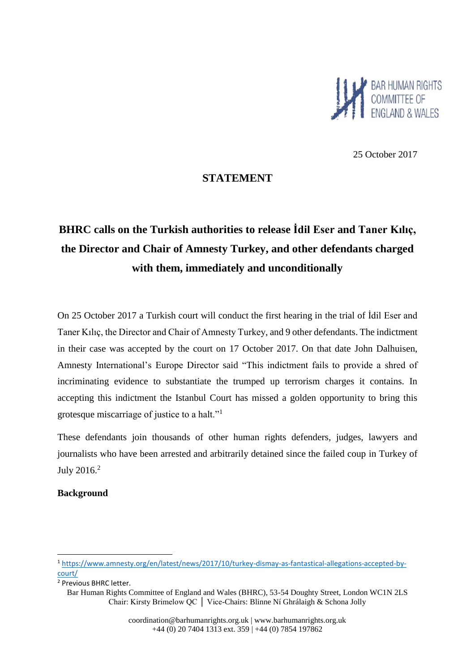

25 October 2017

# **STATEMENT**

# **BHRC calls on the Turkish authorities to release İdil Eser and Taner Kılıç, the Director and Chair of Amnesty Turkey, and other defendants charged with them, immediately and unconditionally**

On 25 October 2017 a Turkish court will conduct the first hearing in the trial of İdil Eser and Taner Kılıç, the Director and Chair of Amnesty Turkey, and 9 other defendants. The indictment in their case was accepted by the court on 17 October 2017. On that date John Dalhuisen, Amnesty International's Europe Director said "This indictment fails to provide a shred of incriminating evidence to substantiate the trumped up terrorism charges it contains. In accepting this indictment the Istanbul Court has missed a golden opportunity to bring this grotesque miscarriage of justice to a halt."<sup>1</sup>

These defendants join thousands of other human rights defenders, judges, lawyers and journalists who have been arrested and arbitrarily detained since the failed coup in Turkey of July 2016.<sup>2</sup>

### **Background**

**.** 

<sup>1</sup> [https://www.amnesty.org/en/latest/news/2017/10/turkey-dismay-as-fantastical-allegations-accepted-by](https://www.amnesty.org/en/latest/news/2017/10/turkey-dismay-as-fantastical-allegations-accepted-by-court/)[court/](https://www.amnesty.org/en/latest/news/2017/10/turkey-dismay-as-fantastical-allegations-accepted-by-court/)

<sup>2</sup> Previous BHRC letter.

Bar Human Rights Committee of England and Wales (BHRC), 53-54 Doughty Street, London WC1N 2LS Chair: Kirsty Brimelow QC │ Vice-Chairs: Blinne Ní Ghrálaigh & Schona Jolly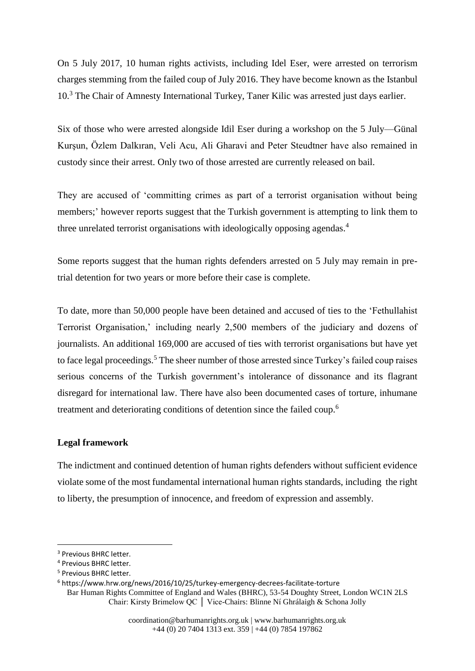On 5 July 2017, 10 human rights activists, including Idel Eser, were arrested on terrorism charges stemming from the failed coup of July 2016. They have become known as the Istanbul 10.<sup>3</sup> The Chair of Amnesty International Turkey, Taner Kilic was arrested just days earlier.

Six of those who were arrested alongside Idil Eser during a workshop on the 5 July—Günal Kurşun, Özlem Dalkıran, Veli Acu, Ali Gharavi and Peter Steudtner have also remained in custody since their arrest. Only two of those arrested are currently released on bail.

They are accused of 'committing crimes as part of a terrorist organisation without being members;' however reports suggest that the Turkish government is attempting to link them to three unrelated terrorist organisations with ideologically opposing agendas. 4

Some reports suggest that the human rights defenders arrested on 5 July may remain in pretrial detention for two years or more before their case is complete.

To date, more than 50,000 people have been detained and accused of ties to the 'Fethullahist Terrorist Organisation,' including nearly 2,500 members of the judiciary and dozens of journalists. An additional 169,000 are accused of ties with terrorist organisations but have yet to face legal proceedings.<sup>5</sup> The sheer number of those arrested since Turkey's failed coup raises serious concerns of the Turkish government's intolerance of dissonance and its flagrant disregard for international law. There have also been documented cases of torture, inhumane treatment and deteriorating conditions of detention since the failed coup.<sup>6</sup>

#### **Legal framework**

The indictment and continued detention of human rights defenders without sufficient evidence violate some of the most fundamental international human rights standards, including the right to liberty, the presumption of innocence, and freedom of expression and assembly.

**.** 

<sup>&</sup>lt;sup>3</sup> Previous BHRC letter.

<sup>4</sup> Previous BHRC letter.

<sup>5</sup> Previous BHRC letter.

<sup>6</sup> https://www.hrw.org/news/2016/10/25/turkey-emergency-decrees-facilitate-torture

Bar Human Rights Committee of England and Wales (BHRC), 53-54 Doughty Street, London WC1N 2LS Chair: Kirsty Brimelow QC │ Vice-Chairs: Blinne Ní Ghrálaigh & Schona Jolly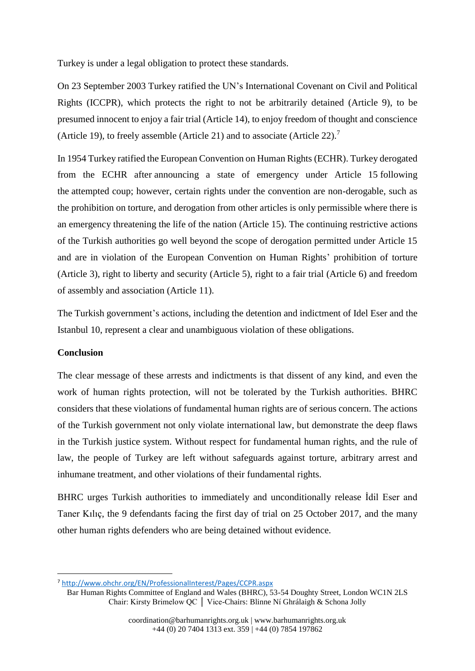Turkey is under a legal obligation to protect these standards.

On 23 September 2003 Turkey ratified the UN's International Covenant on Civil and Political Rights (ICCPR), which protects the right to not be arbitrarily detained (Article 9), to be presumed innocent to enjoy a fair trial (Article 14), to enjoy freedom of thought and conscience (Article 19), to freely assemble (Article 21) and to associate (Article 22). 7

In 1954 Turkey ratified the European Convention on Human Rights (ECHR). Turkey derogated from the ECHR after [announcing a state of emergency](http://www.independent.co.uk/news/world/europe/turkey-coup-erdogan-declares-three-month-state-of-emergency-a7147171.html) under Article 15 following the [attempted coup;](http://www.independent.co.uk/topic/turkey-coup) however, certain rights under the convention are non-derogable, such as the prohibition on torture, and derogation from other articles is only permissible where there is an emergency threatening the life of the nation (Article 15). The continuing restrictive actions of the Turkish authorities go well beyond the scope of derogation permitted under Article 15 and are in violation of the European Convention on Human Rights' prohibition of torture (Article 3), right to liberty and security (Article 5), right to a fair trial (Article 6) and freedom of assembly and association (Article 11).

The Turkish government's actions, including the detention and indictment of Idel Eser and the Istanbul 10, represent a clear and unambiguous violation of these obligations.

#### **Conclusion**

**.** 

The clear message of these arrests and indictments is that dissent of any kind, and even the work of human rights protection, will not be tolerated by the Turkish authorities. BHRC considers that these violations of fundamental human rights are of serious concern. The actions of the Turkish government not only violate international law, but demonstrate the deep flaws in the Turkish justice system. Without respect for fundamental human rights, and the rule of law, the people of Turkey are left without safeguards against torture, arbitrary arrest and inhumane treatment, and other violations of their fundamental rights.

BHRC urges Turkish authorities to immediately and unconditionally release İdil Eser and Taner Kılıç, the 9 defendants facing the first day of trial on 25 October 2017, and the many other human rights defenders who are being detained without evidence.

<sup>7</sup> <http://www.ohchr.org/EN/ProfessionalInterest/Pages/CCPR.aspx>

Bar Human Rights Committee of England and Wales (BHRC), 53-54 Doughty Street, London WC1N 2LS Chair: Kirsty Brimelow QC │ Vice-Chairs: Blinne Ní Ghrálaigh & Schona Jolly